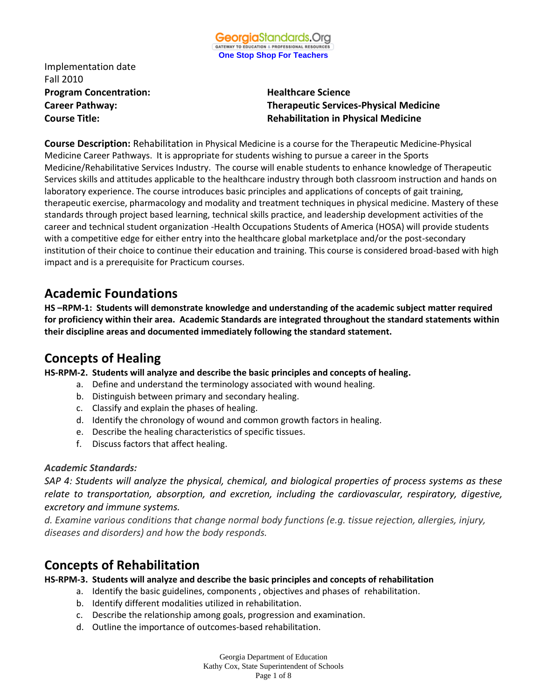Implementation date Fall 2010 **Program Concentration:** Healthcare Science

**Career Pathway: Therapeutic Services-Physical Medicine Course Title: Rehabilitation in Physical Medicine**

**Course Description:** Rehabilitation in Physical Medicine is a course for the Therapeutic Medicine-Physical Medicine Career Pathways. It is appropriate for students wishing to pursue a career in the Sports Medicine/Rehabilitative Services Industry. The course will enable students to enhance knowledge of Therapeutic Services skills and attitudes applicable to the healthcare industry through both classroom instruction and hands on laboratory experience. The course introduces basic principles and applications of concepts of gait training, therapeutic exercise, pharmacology and modality and treatment techniques in physical medicine. Mastery of these standards through project based learning, technical skills practice, and leadership development activities of the career and technical student organization -Health Occupations Students of America (HOSA) will provide students with a competitive edge for either entry into the healthcare global marketplace and/or the post-secondary institution of their choice to continue their education and training. This course is considered broad-based with high impact and is a prerequisite for Practicum courses.

### **Academic Foundations**

**HS –RPM-1: Students will demonstrate knowledge and understanding of the academic subject matter required for proficiency within their area. Academic Standards are integrated throughout the standard statements within their discipline areas and documented immediately following the standard statement.**

## **Concepts of Healing**

**HS-RPM-2. Students will analyze and describe the basic principles and concepts of healing.**

- a. Define and understand the terminology associated with wound healing.
- b. Distinguish between primary and secondary healing.
- c. Classify and explain the phases of healing.
- d. Identify the chronology of wound and common growth factors in healing.
- e. Describe the healing characteristics of specific tissues.
- f. Discuss factors that affect healing.

#### *Academic Standards:*

*SAP 4: Students will analyze the physical, chemical, and biological properties of process systems as these relate to transportation, absorption, and excretion, including the cardiovascular, respiratory, digestive, excretory and immune systems.* 

*d. Examine various conditions that change normal body functions (e.g. tissue rejection, allergies, injury, diseases and disorders) and how the body responds.*

## **Concepts of Rehabilitation**

#### **HS-RPM-3. Students will analyze and describe the basic principles and concepts of rehabilitation**

- a. Identify the basic guidelines, components , objectives and phases of rehabilitation.
- b. Identify different modalities utilized in rehabilitation.
- c. Describe the relationship among goals, progression and examination.
- d. Outline the importance of outcomes-based rehabilitation.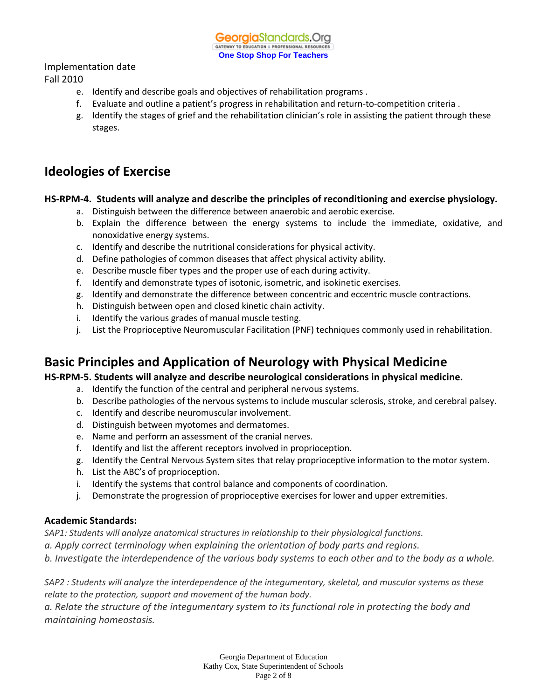**Georgia**Standards.Org GATEWAY TO EDUCATION & PROFESSIONAL RESOURC **One Stop Shop For Teachers**

#### Implementation date

#### Fall 2010

- e. Identify and describe goals and objectives of rehabilitation programs .
- f. Evaluate and outline a patient's progress in rehabilitation and return-to-competition criteria .
- g. Identify the stages of grief and the rehabilitation clinician's role in assisting the patient through these stages.

### **Ideologies of Exercise**

#### **HS-RPM-4. Students will analyze and describe the principles of reconditioning and exercise physiology.**

- a. Distinguish between the difference between anaerobic and aerobic exercise.
- b. Explain the difference between the energy systems to include the immediate, oxidative, and nonoxidative energy systems.
- c. Identify and describe the nutritional considerations for physical activity.
- d. Define pathologies of common diseases that affect physical activity ability.
- e. Describe muscle fiber types and the proper use of each during activity.
- f. Identify and demonstrate types of isotonic, isometric, and isokinetic exercises.
- g. Identify and demonstrate the difference between concentric and eccentric muscle contractions.
- h. Distinguish between open and closed kinetic chain activity.
- i. Identify the various grades of manual muscle testing.
- j. List the Proprioceptive Neuromuscular Facilitation (PNF) techniques commonly used in rehabilitation.

## **Basic Principles and Application of Neurology with Physical Medicine**

#### **HS-RPM-5. Students will analyze and describe neurological considerations in physical medicine.**

- a. Identify the function of the central and peripheral nervous systems.
- b. Describe pathologies of the nervous systems to include muscular sclerosis, stroke, and cerebral palsey.
- c. Identify and describe neuromuscular involvement.
- d. Distinguish between myotomes and dermatomes.
- e. Name and perform an assessment of the cranial nerves.
- f. Identify and list the afferent receptors involved in proprioception.
- g. Identify the Central Nervous System sites that relay proprioceptive information to the motor system.
- h. List the ABC's of proprioception.
- i. Identify the systems that control balance and components of coordination.
- j. Demonstrate the progression of proprioceptive exercises for lower and upper extremities.

#### **Academic Standards:**

*SAP1: Students will analyze anatomical structures in relationship to their physiological functions.*

*a. Apply correct terminology when explaining the orientation of body parts and regions.*

*b. Investigate the interdependence of the various body systems to each other and to the body as a whole.*

*SAP2 : Students will analyze the interdependence of the integumentary, skeletal, and muscular systems as these relate to the protection, support and movement of the human body.*

*a. Relate the structure of the integumentary system to its functional role in protecting the body and maintaining homeostasis.*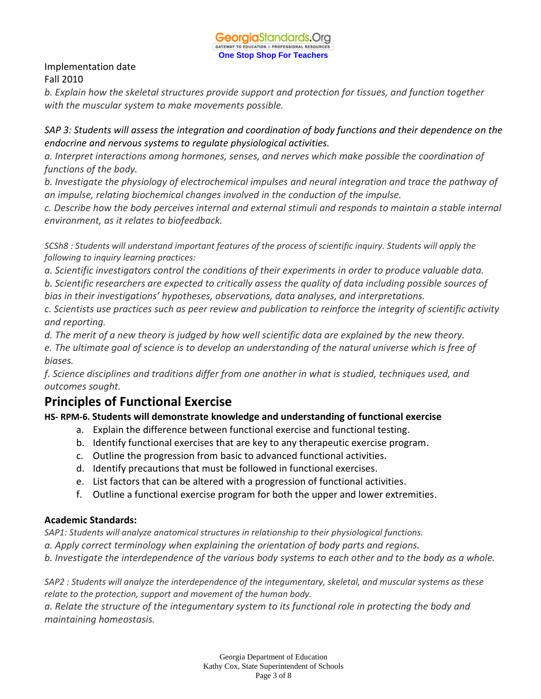

*b. Explain how the skeletal structures provide support and protection for tissues, and function together with the muscular system to make movements possible.*

*SAP 3: Students will assess the integration and coordination of body functions and their dependence on the endocrine and nervous systems to regulate physiological activities.*

*a. Interpret interactions among hormones, senses, and nerves which make possible the coordination of functions of the body.*

*b. Investigate the physiology of electrochemical impulses and neural integration and trace the pathway of an impulse, relating biochemical changes involved in the conduction of the impulse.*

*c. Describe how the body perceives internal and external stimuli and responds to maintain a stable internal environment, as it relates to biofeedback.*

*SCSh8 : Students will understand important features of the process of scientific inquiry. Students will apply the following to inquiry learning practices:*

*a. Scientific investigators control the conditions of their experiments in order to produce valuable data.* 

*b. Scientific researchers are expected to critically assess the quality of data including possible sources of bias in their investigations' hypotheses, observations, data analyses, and interpretations.*

*c. Scientists use practices such as peer review and publication to reinforce the integrity of scientific activity and reporting.*

*d. The merit of a new theory is judged by how well scientific data are explained by the new theory.*

*e. The ultimate goal of science is to develop an understanding of the natural universe which is free of biases.*

*f. Science disciplines and traditions differ from one another in what is studied, techniques used, and outcomes sought.*

# **Principles of Functional Exercise**

### **HS- RPM-6. Students will demonstrate knowledge and understanding of functional exercise**

- a. Explain the difference between functional exercise and functional testing.
- b. Identify functional exercises that are key to any therapeutic exercise program.
- c. Outline the progression from basic to advanced functional activities.
- d. Identify precautions that must be followed in functional exercises.
- e. List factors that can be altered with a progression of functional activities.
- f. Outline a functional exercise program for both the upper and lower extremities.

### **Academic Standards:**

*SAP1: Students will analyze anatomical structures in relationship to their physiological functions.*

*a. Apply correct terminology when explaining the orientation of body parts and regions.*

*b. Investigate the interdependence of the various body systems to each other and to the body as a whole.*

*SAP2 : Students will analyze the interdependence of the integumentary, skeletal, and muscular systems as these relate to the protection, support and movement of the human body.*

*a. Relate the structure of the integumentary system to its functional role in protecting the body and maintaining homeostasis.*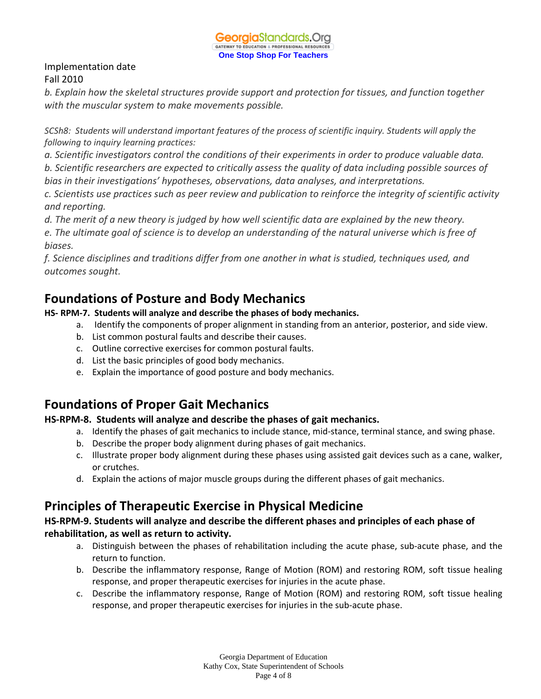*b. Explain how the skeletal structures provide support and protection for tissues, and function together with the muscular system to make movements possible.*

*SCSh8: Students will understand important features of the process of scientific inquiry. Students will apply the following to inquiry learning practices:*

*a. Scientific investigators control the conditions of their experiments in order to produce valuable data.* 

*b. Scientific researchers are expected to critically assess the quality of data including possible sources of bias in their investigations' hypotheses, observations, data analyses, and interpretations.*

*c. Scientists use practices such as peer review and publication to reinforce the integrity of scientific activity and reporting.*

*d. The merit of a new theory is judged by how well scientific data are explained by the new theory.*

*e. The ultimate goal of science is to develop an understanding of the natural universe which is free of biases.*

*f. Science disciplines and traditions differ from one another in what is studied, techniques used, and outcomes sought.*

# **Foundations of Posture and Body Mechanics**

### **HS- RPM-7. Students will analyze and describe the phases of body mechanics.**

- a. Identify the components of proper alignment in standing from an anterior, posterior, and side view.
- b. List common postural faults and describe their causes.
- c. Outline corrective exercises for common postural faults.
- d. List the basic principles of good body mechanics.
- e. Explain the importance of good posture and body mechanics.

# **Foundations of Proper Gait Mechanics**

### **HS-RPM-8. Students will analyze and describe the phases of gait mechanics.**

- a. Identify the phases of gait mechanics to include stance, mid-stance, terminal stance, and swing phase.
- b. Describe the proper body alignment during phases of gait mechanics.
- c. Illustrate proper body alignment during these phases using assisted gait devices such as a cane, walker, or crutches.
- d. Explain the actions of major muscle groups during the different phases of gait mechanics.

## **Principles of Therapeutic Exercise in Physical Medicine**

### **HS-RPM-9. Students will analyze and describe the different phases and principles of each phase of rehabilitation, as well as return to activity.**

- a. Distinguish between the phases of rehabilitation including the acute phase, sub-acute phase, and the return to function.
- b. Describe the inflammatory response, Range of Motion (ROM) and restoring ROM, soft tissue healing response, and proper therapeutic exercises for injuries in the acute phase.
- c. Describe the inflammatory response, Range of Motion (ROM) and restoring ROM, soft tissue healing response, and proper therapeutic exercises for injuries in the sub-acute phase.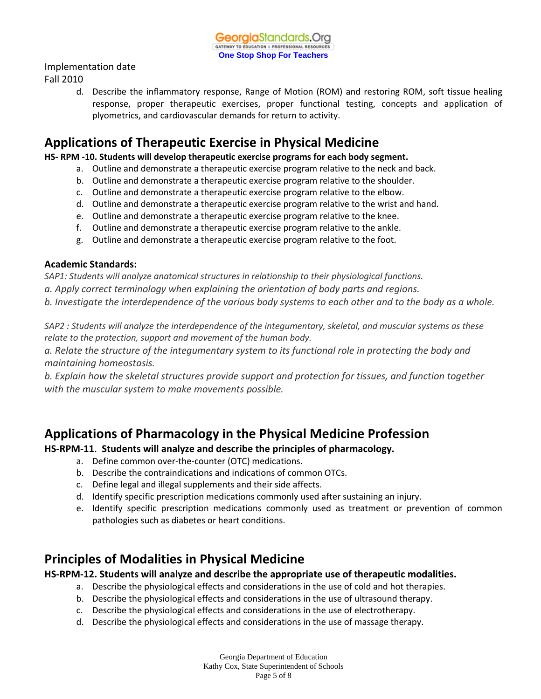Implementation date

Fall 2010

d. Describe the inflammatory response, Range of Motion (ROM) and restoring ROM, soft tissue healing response, proper therapeutic exercises, proper functional testing, concepts and application of plyometrics, and cardiovascular demands for return to activity.

## **Applications of Therapeutic Exercise in Physical Medicine**

**HS- RPM -10. Students will develop therapeutic exercise programs for each body segment.**

- a. Outline and demonstrate a therapeutic exercise program relative to the neck and back.
- b. Outline and demonstrate a therapeutic exercise program relative to the shoulder.
- c. Outline and demonstrate a therapeutic exercise program relative to the elbow.
- d. Outline and demonstrate a therapeutic exercise program relative to the wrist and hand.
- e. Outline and demonstrate a therapeutic exercise program relative to the knee.
- f. Outline and demonstrate a therapeutic exercise program relative to the ankle.
- g. Outline and demonstrate a therapeutic exercise program relative to the foot.

#### **Academic Standards:**

*SAP1: Students will analyze anatomical structures in relationship to their physiological functions.*

*a. Apply correct terminology when explaining the orientation of body parts and regions.*

*b. Investigate the interdependence of the various body systems to each other and to the body as a whole.*

*SAP2 : Students will analyze the interdependence of the integumentary, skeletal, and muscular systems as these relate to the protection, support and movement of the human body.*

*a. Relate the structure of the integumentary system to its functional role in protecting the body and maintaining homeostasis.*

*b. Explain how the skeletal structures provide support and protection for tissues, and function together with the muscular system to make movements possible.*

## **Applications of Pharmacology in the Physical Medicine Profession**

### **HS-RPM-11**. **Students will analyze and describe the principles of pharmacology.**

- a. Define common over-the-counter (OTC) medications.
- b. Describe the contraindications and indications of common OTCs.
- c. Define legal and illegal supplements and their side affects.
- d. Identify specific prescription medications commonly used after sustaining an injury.
- e. Identify specific prescription medications commonly used as treatment or prevention of common pathologies such as diabetes or heart conditions.

## **Principles of Modalities in Physical Medicine**

### **HS-RPM-12. Students will analyze and describe the appropriate use of therapeutic modalities.**

- a. Describe the physiological effects and considerations in the use of cold and hot therapies.
- b. Describe the physiological effects and considerations in the use of ultrasound therapy.
- c. Describe the physiological effects and considerations in the use of electrotherapy.
- d. Describe the physiological effects and considerations in the use of massage therapy.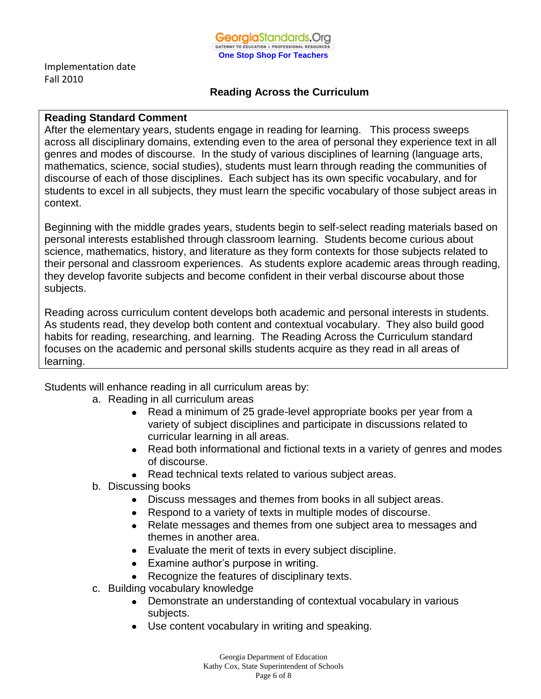

### **Reading Across the Curriculum**

#### **Reading Standard Comment**

After the elementary years, students engage in reading for learning. This process sweeps across all disciplinary domains, extending even to the area of personal they experience text in all genres and modes of discourse. In the study of various disciplines of learning (language arts, mathematics, science, social studies), students must learn through reading the communities of discourse of each of those disciplines. Each subject has its own specific vocabulary, and for students to excel in all subjects, they must learn the specific vocabulary of those subject areas in context.

Beginning with the middle grades years, students begin to self-select reading materials based on personal interests established through classroom learning. Students become curious about science, mathematics, history, and literature as they form contexts for those subjects related to their personal and classroom experiences. As students explore academic areas through reading, they develop favorite subjects and become confident in their verbal discourse about those subjects.

Reading across curriculum content develops both academic and personal interests in students. As students read, they develop both content and contextual vocabulary. They also build good habits for reading, researching, and learning. The Reading Across the Curriculum standard focuses on the academic and personal skills students acquire as they read in all areas of learning.

Students will enhance reading in all curriculum areas by:

- a. Reading in all curriculum areas
	- Read a minimum of 25 grade-level appropriate books per year from a  $\bullet$ variety of subject disciplines and participate in discussions related to curricular learning in all areas.
	- Read both informational and fictional texts in a variety of genres and modes of discourse.
	- Read technical texts related to various subject areas.
- b. Discussing books
	- Discuss messages and themes from books in all subject areas.
	- Respond to a variety of texts in multiple modes of discourse.
	- Relate messages and themes from one subject area to messages and themes in another area.
	- Evaluate the merit of texts in every subject discipline.
	- Examine author's purpose in writing.
	- Recognize the features of disciplinary texts.
- c. Building vocabulary knowledge
	- Demonstrate an understanding of contextual vocabulary in various subjects.
	- Use content vocabulary in writing and speaking.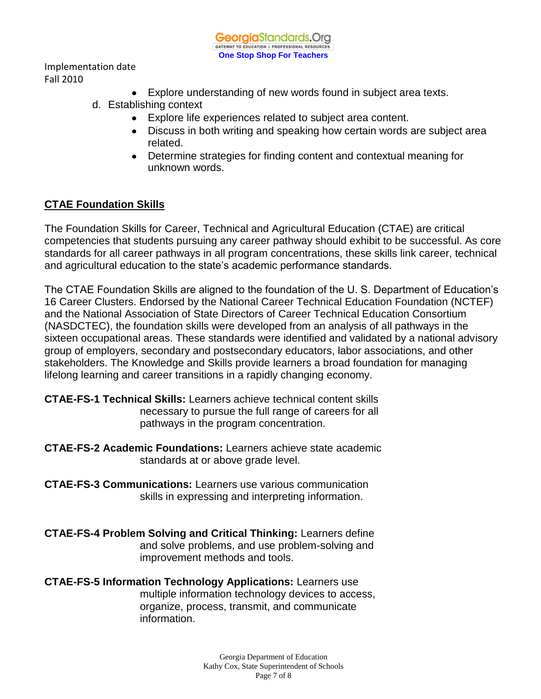

- Explore understanding of new words found in subject area texts.
- d. Establishing context
	- Explore life experiences related to subject area content.
	- Discuss in both writing and speaking how certain words are subject area related.
	- Determine strategies for finding content and contextual meaning for unknown words.

### **CTAE Foundation Skills**

The Foundation Skills for Career, Technical and Agricultural Education (CTAE) are critical competencies that students pursuing any career pathway should exhibit to be successful. As core standards for all career pathways in all program concentrations, these skills link career, technical and agricultural education to the state's academic performance standards.

The CTAE Foundation Skills are aligned to the foundation of the U. S. Department of Education's 16 Career Clusters. Endorsed by the National Career Technical Education Foundation (NCTEF) and the National Association of State Directors of Career Technical Education Consortium (NASDCTEC), the foundation skills were developed from an analysis of all pathways in the sixteen occupational areas. These standards were identified and validated by a national advisory group of employers, secondary and postsecondary educators, labor associations, and other stakeholders. The Knowledge and Skills provide learners a broad foundation for managing lifelong learning and career transitions in a rapidly changing economy.

### **CTAE-FS-1 Technical Skills:** Learners achieve technical content skills necessary to pursue the full range of careers for all pathways in the program concentration.

- **CTAE-FS-2 Academic Foundations:** Learners achieve state academic standards at or above grade level.
- **CTAE-FS-3 Communications:** Learners use various communication skills in expressing and interpreting information.
- **CTAE-FS-4 Problem Solving and Critical Thinking:** Learners define and solve problems, and use problem-solving and improvement methods and tools.

**CTAE-FS-5 Information Technology Applications:** Learners use multiple information technology devices to access, organize, process, transmit, and communicate information.